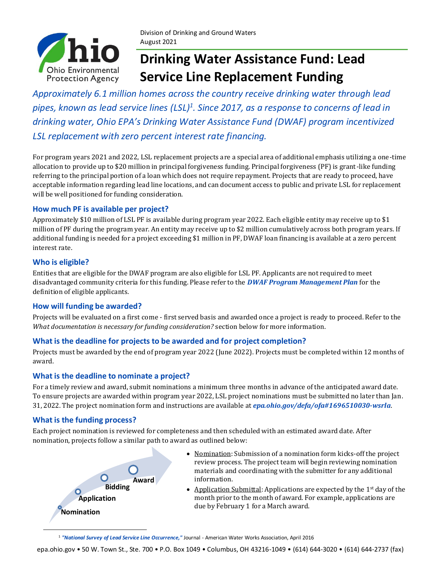

# **Drinking Water Assistance Fund: Lead Service Line Replacement Funding**

*Approximately 6.1 million homes across the country receive drinking water through lead pipes, known as lead service lines (LSL)<sup>1</sup> . Since 2017, as a response to concerns of lead in drinking water, Ohio EPA's Drinking Water Assistance Fund (DWAF) program incentivized LSL replacement with zero percent interest rate financing.* 

For program years 2021 and 2022, LSL replacement projects are a special area of additional emphasis utilizing a one-time allocation to provide up to \$20 million in principal forgiveness funding. Principal forgiveness (PF) is grant-like funding referring to the principal portion of a loan which does not require repayment. Projects that are ready to proceed, have acceptable information regarding lead line locations, and can document access to public and private LSL for replacement will be well positioned for funding consideration.

### **How much PF is available per project?**

Approximately \$10 million of LSL PF is available during program year 2022. Each eligible entity may receive up to \$1 million of PF during the program year. An entity may receive up to \$2 million cumulatively across both program years. If additional funding is needed for a project exceeding \$1 million in PF, DWAF loan financing is available at a zero percent interest rate.

### **Who is eligible?**

Entities that are eligible for the DWAF program are also eligible for LSL PF. Applicants are not required to meet disadvantaged community criteria for this funding. Please refer to the *[DWAF Program Management Plan](https://epa.ohio.gov/defa/ofa#1696510030-wsrla)* for the definition of eligible applicants.

### **How will funding be awarded?**

Projects will be evaluated on a first come - first served basis and awarded once a project is ready to proceed. Refer to the *What documentation is necessary for funding consideration?* section below for more information.

### **What is the deadline for projects to be awarded and for project completion?**

Projects must be awarded by the end of program year 2022 (June 2022). Projects must be completed within 12 months of award.

### **What is the deadline to nominate a project?**

For a timely review and award, submit nominations a minimum three months in advance of the anticipated award date. To ensure projects are awarded within program year 2022, LSL project nominations must be submitted no later than Jan. 31, 2022. The project nomination form and instructions are available at *[epa.ohio.gov/defa/ofa#1696510030-wsrla](https://epa.ohio.gov/defa/ofa#1696510030-wsrla)*.

### **What is the funding process?**

Each project nomination is reviewed for completeness and then scheduled with an estimated award date. After nomination, projects follow a similar path to award as outlined below:



- Nomination: Submission of a nomination form kicks-off the project review process. The project team will begin reviewing nomination materials and coordinating with the submitter for any additional information.
- Application Submittal: Applications are expected by the  $1<sup>st</sup>$  day of the month prior to the month of award. For example, applications are due by February 1 for a March award.

<sup>1</sup> *["National Survey of Lead Service Line Occurrence,"](https://awwa.onlinelibrary.wiley.com/doi/full/10.5942/jawwa.2016.108.0086)* Journal - American Water Works Association, April 2016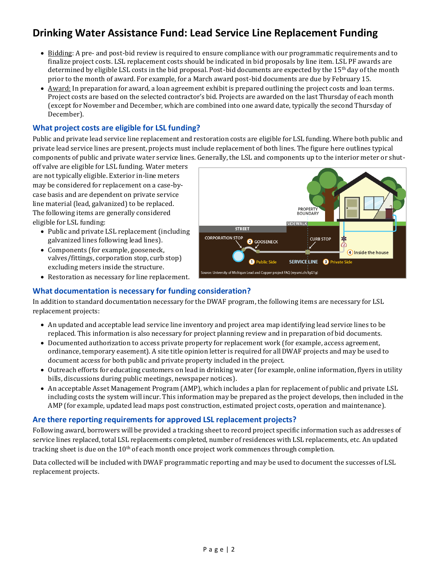## **Drinking Water Assistance Fund: Lead Service Line Replacement Funding**

- Bidding: A pre- and post-bid review is required to ensure compliance with our programmatic requirements and to finalize project costs. LSL replacement costs should be indicated in bid proposals by line item. LSL PF awards are determined by eligible LSL costs in the bid proposal. Post-bid documents are expected by the  $15<sup>th</sup>$  day of the month prior to the month of award. For example, for a March award post-bid documents are due by February 15.
- Award: In preparation for award, a loan agreement exhibit is prepared outlining the project costs and loan terms. Project costs are based on the selected contractor's bid. Projects are awarded on the last Thursday of each month (except for November and December, which are combined into one award date, typically the second Thursday of December).

### **What project costs are eligible for LSL funding?**

Public and private lead service line replacement and restoration costs are eligible for LSL funding. Where both public and private lead service lines are present, projects must include replacement of both lines. The figure here outlines typical components of public and private water service lines. Generally, the LSL and components up to the interior meter or shut-

off valve are eligible for LSL funding. Water meters are not typically eligible. Exterior in-line meters may be considered for replacement on a case-bycase basis and are dependent on private service line material (lead, galvanized) to be replaced. The following items are generally considered eligible for LSL funding:

- Public and private LSL replacement (including galvanized lines following lead lines).
- Components (for example, gooseneck, valves/fittings, corporation stop, curb stop) excluding meters inside the structure.
- Restoration as necessary for line replacement.

#### PROPERTY<br>BOUNDARY **SIDEWALK** STREET **CORPORATION STOP CURB STOP** ∗ **2** GOOSENECK  $\widehat{C}$ 4 Inside the house **O** Public Side **SERVICE LINE @** Private Side Source: University of Michigan Lead and Copper project FAQ (myumi.ch/JgG1g)

### **What documentation is necessary for funding consideration?**

In addition to standard documentation necessary for the DWAF program, the following items are necessary for LSL replacement projects:

- An updated and acceptable lead service line inventory and project area map identifying lead service lines to be replaced. This information is also necessary for project planning review and in preparation of bid documents.
- Documented authorization to access private property for replacement work (for example, access agreement, ordinance, temporary easement). A site title opinion letter is required for all DWAF projects and may be used to document access for both public and private property included in the project.
- Outreach efforts for educating customers on lead in drinking water (for example, online information, flyers in utility bills, discussions during public meetings, newspaper notices).
- An acceptable Asset Management Program (AMP), which includes a plan for replacement of public and private LSL including costs the system will incur. This information may be prepared as the project develops, then included in the AMP (for example, updated lead maps post construction, estimated project costs, operation and maintenance).

### **Are there reporting requirements for approved LSL replacement projects?**

Following award, borrowers will be provided a tracking sheet to record project specific information such as addresses of service lines replaced, total LSL replacements completed, number of residences with LSL replacements, etc. An updated tracking sheet is due on the  $10<sup>th</sup>$  of each month once project work commences through completion.

Data collected will be included with DWAF programmatic reporting and may be used to document the successes of LSL replacement projects.